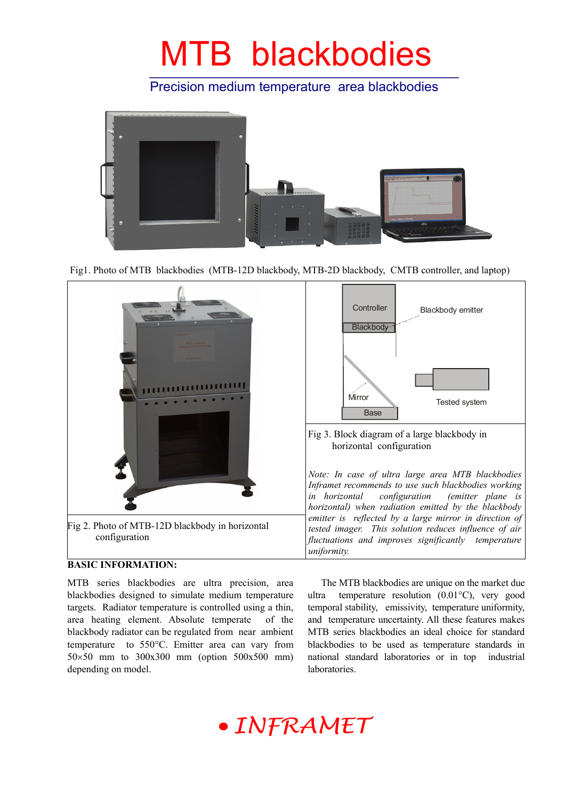# MTB blackbodies

Precision medium temperature area blackbodies



Fig1. Photo of MTB blackbodies (MTB-12D blackbody, MTB-2D blackbody, CMTB controller, and laptop)



### **BASIC INFORMATION:**

MTB series blackbodies are ultra precision, area blackbodies designed to simulate medium temperature targets. Radiator temperature is controlled using a thin, area heating element. Absolute temperate of the blackbody radiator can be regulated from near ambient temperature to 550°C. Emitter area can vary from 5050 mm to 300x300 mm (option 500x500 mm) depending on model.

The MTB blackbodies are unique on the market due ultra temperature resolution  $(0.01\degree C)$ , very good temporal stability, emissivity, temperature uniformity, and temperature uncertainty. All these features makes MTB series blackbodies an ideal choice for standard blackbodies to be used as temperature standards in national standard laboratories or in top industrial laboratories.